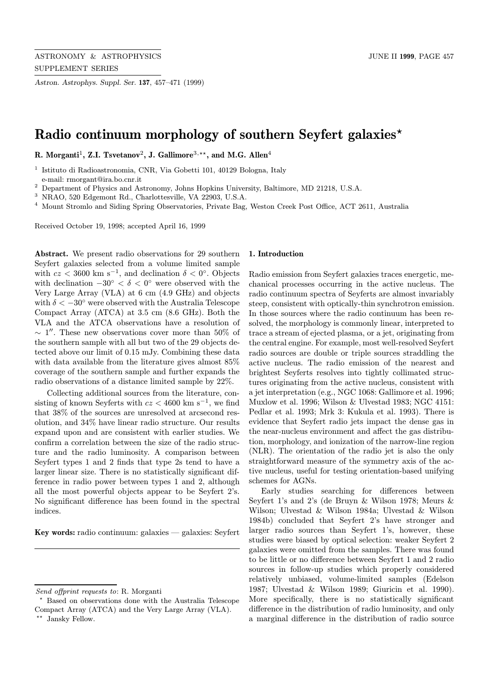Astron. Astrophys. Suppl. Ser. 137, 457–471 (1999)

# Radio continuum morphology of southern Seyfert galaxies<sup>\*</sup>

R. Morganti<sup>1</sup>, Z.I. Tsvetanov<sup>2</sup>, J. Gallimore<sup>3,\*\*</sup>, and M.G. Allen<sup>4</sup>

<sup>1</sup> Istituto di Radioastronomia, CNR, Via Gobetti 101, 40129 Bologna, Italy e-mail: rmorgant@ira.bo.cnr.it

<sup>2</sup> Department of Physics and Astronomy, Johns Hopkins University, Baltimore, MD 21218, U.S.A.

<sup>3</sup> NRAO, 520 Edgemont Rd., Charlottesville, VA 22903, U.S.A.

<sup>4</sup> Mount Stromlo and Siding Spring Observatories, Private Bag, Weston Creek Post Office, ACT 2611, Australia

Received October 19, 1998; accepted April 16, 1999

Abstract. We present radio observations for 29 southern Seyfert galaxies selected from a volume limited sample with  $cz < 3600 \text{ km s}^{-1}$ , and declination  $\delta < 0^{\circ}$ . Objects with declination  $-30^{\circ} < \delta < 0^{\circ}$  were observed with the Very Large Array (VLA) at 6 cm (4.9 GHz) and objects with  $\delta < -30^{\circ}$  were observed with the Australia Telescope Compact Array (ATCA) at 3.5 cm (8.6 GHz). Both the VLA and the ATCA observations have a resolution of  $\sim$  1". These new observations cover more than 50% of the southern sample with all but two of the 29 objects detected above our limit of 0.15 mJy. Combining these data with data available from the literature gives almost 85% coverage of the southern sample and further expands the radio observations of a distance limited sample by 22%.

Collecting additional sources from the literature, consisting of known Seyferts with  $cz < 4600$  km s<sup>-1</sup>, we find that 38% of the sources are unresolved at arcsecond resolution, and 34% have linear radio structure. Our results expand upon and are consistent with earlier studies. We confirm a correlation between the size of the radio structure and the radio luminosity. A comparison between Seyfert types 1 and 2 finds that type 2s tend to have a larger linear size. There is no statistically significant difference in radio power between types 1 and 2, although all the most powerful objects appear to be Seyfert 2's. No significant difference has been found in the spectral indices.

Key words: radio continuum: galaxies — galaxies: Seyfert

## 1. Introduction

Radio emission from Seyfert galaxies traces energetic, mechanical processes occurring in the active nucleus. The radio continuum spectra of Seyferts are almost invariably steep, consistent with optically-thin synchrotron emission. In those sources where the radio continuum has been resolved, the morphology is commonly linear, interpreted to trace a stream of ejected plasma, or a jet, originating from the central engine. For example, most well-resolved Seyfert radio sources are double or triple sources straddling the active nucleus. The radio emission of the nearest and brightest Seyferts resolves into tightly collimated structures originating from the active nucleus, consistent with a jet interpretation (e.g., NGC 1068: Gallimore et al. 1996; Muxlow et al. 1996; Wilson & Ulvestad 1983; NGC 4151: Pedlar et al. 1993; Mrk 3: Kukula et al. 1993). There is evidence that Seyfert radio jets impact the dense gas in the near-nucleus environment and affect the gas distribution, morphology, and ionization of the narrow-line region (NLR). The orientation of the radio jet is also the only straightforward measure of the symmetry axis of the active nucleus, useful for testing orientation-based unifying schemes for AGNs.

Early studies searching for differences between Seyfert 1's and 2's (de Bruyn & Wilson 1978; Meurs & Wilson; Ulvestad & Wilson 1984a; Ulvestad & Wilson 1984b) concluded that Seyfert 2's have stronger and larger radio sources than Seyfert 1's, however, these studies were biased by optical selection: weaker Seyfert 2 galaxies were omitted from the samples. There was found to be little or no difference between Seyfert 1 and 2 radio sources in follow-up studies which properly considered relatively unbiased, volume-limited samples (Edelson 1987; Ulvestad & Wilson 1989; Giuricin et al. 1990). More specifically, there is no statistically significant difference in the distribution of radio luminosity, and only a marginal difference in the distribution of radio source

Send offprint requests to: R. Morganti

<sup>?</sup> Based on observations done with the Australia Telescope Compact Array (ATCA) and the Very Large Array (VLA). \*\* Jansky Fellow.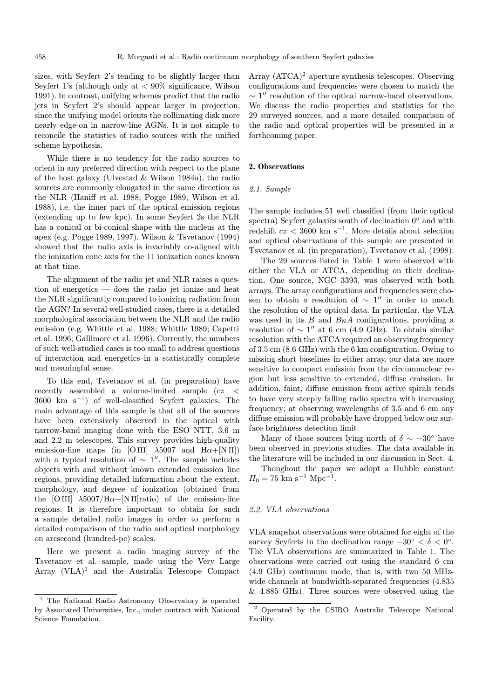sizes, with Seyfert 2's tending to be slightly larger than Seyfert 1's (although only at  $\langle 90\%$  significance, Wilson 1991). In contrast, unifying schemes predict that the radio jets in Seyfert 2's should appear larger in projection, since the unifying model orients the collimating disk more nearly edge-on in narrow-line AGNs. It is not simple to reconcile the statistics of radio sources with the unified scheme hypothesis.

While there is no tendency for the radio sources to orient in any preferred direction with respect to the plane of the host galaxy (Ulvestad & Wilson 1984a), the radio sources are commonly elongated in the same direction as the NLR (Haniff et al. 1988; Pogge 1989; Wilson et al. 1988), i.e. the inner part of the optical emission regions (extending up to few kpc). In some Seyfert 2s the NLR has a conical or bi-conical shape with the nucleus at the apex (e.g. Pogge 1989, 1997). Wilson & Tsvetanov (1994) showed that the radio axis is invariably co-aligned with the ionization cone axis for the 11 ionization cones known at that time.

The alignment of the radio jet and NLR raises a question of energetics — does the radio jet ionize and heat the NLR significantly compared to ionizing radiation from the AGN? In several well-studied cases, there is a detailed morphological association between the NLR and the radio emission (e.g. Whittle et al. 1988; Whittle 1989; Capetti et al. 1996; Gallimore et al. 1996). Currently, the numbers of such well-studied cases is too small to address questions of interaction and energetics in a statistically complete and meaningful sense.

To this end, Tsvetanov et al. (in preparation) have recently assembled a volume-limited sample (cz < 3600 km s<sup> $-1$ </sup>) of well-classified Seyfert galaxies. The main advantage of this sample is that all of the sources have been extensively observed in the optical with narrow-band imaging done with the ESO NTT, 3.6 m and 2.2 m telescopes. This survey provides high-quality emission-line maps (in [OIII]  $\lambda$ 5007 and H $\alpha$ +[NII]) with a typical resolution of  $\sim 1$ ". The sample includes objects with and without known extended emission line regions, providing detailed information about the extent, morphology, and degree of ionization (obtained from the [O III]  $\lambda$ 5007/H $\alpha$ +[N II]ratio) of the emission-line regions. It is therefore important to obtain for such a sample detailed radio images in order to perform a detailed comparison of the radio and optical morphology on arcsecond (hundred-pc) scales.

Here we present a radio imaging survey of the Tsvetanov et al. sample, made using the Very Large Array  $(VLA)^1$  and the Australia Telescope Compact Array  $(ATCA)^2$  aperture synthesis telescopes. Observing configurations and frequencies were chosen to match the  $\sim 1''$  resolution of the optical narrow-band observations. We discuss the radio properties and statistics for the 29 surveyed sources, and a more detailed comparison of the radio and optical properties will be presented in a forthcoming paper.

#### 2. Observations

## 2.1. Sample

The sample includes 51 well classified (from their optical spectra) Seyfert galaxies south of declination  $0°$  and with redshift  $cz < 3600 \text{ km s}^{-1}$ . More details about selection and optical observations of this sample are presented in Tsvetanov et al. (in preparation), Tsvetanov et al. (1998).

The 29 sources listed in Table 1 were observed with either the VLA or ATCA, depending on their declination. One source, NGC 3393, was observed with both arrays. The array configurations and frequencies were chosen to obtain a resolution of  $\sim$  1" in order to match the resolution of the optical data. In particular, the VLA was used in its  $B$  and  $B_N A$  configurations, providing a resolution of  $\sim 1''$  at 6 cm (4.9 GHz). To obtain similar resolution with the ATCA required an observing frequency of 3.5 cm (8.6 GHz) with the 6 km configuration. Owing to missing short baselines in either array, our data are more sensitive to compact emission from the circumnuclear region but less sensitive to extended, diffuse emission. In addition, faint, diffuse emission from active spirals tends to have very steeply falling radio spectra with increasing frequency; at observing wavelengths of 3.5 and 6 cm any diffuse emission will probably have dropped below our surface brightness detection limit.

Many of those sources lying north of  $\delta \sim -30^{\circ}$  have been observed in previous studies. The data available in the literature will be included in our discussion in Sect. 4.

Thoughout the paper we adopt a Hubble constant  $H_0 = 75$  km s<sup>-1</sup> Mpc<sup>-1</sup>.

#### 2.2. VLA observations

VLA snapshot observations were obtained for eight of the survey Seyferts in the declination range  $-30° < \delta < 0°$ . The VLA observations are summarized in Table 1. The observations were carried out using the standard 6 cm (4.9 GHz) continuum mode, that is, with two 50 MHzwide channels at bandwidth-separated frequencies (4.835 & 4.885 GHz). Three sources were observed using the

<sup>1</sup> The National Radio Astronomy Observatory is operated by Associated Universities, Inc., under contract with National Science Foundation.

<sup>2</sup> Operated by the CSIRO Australia Telescope National Facility.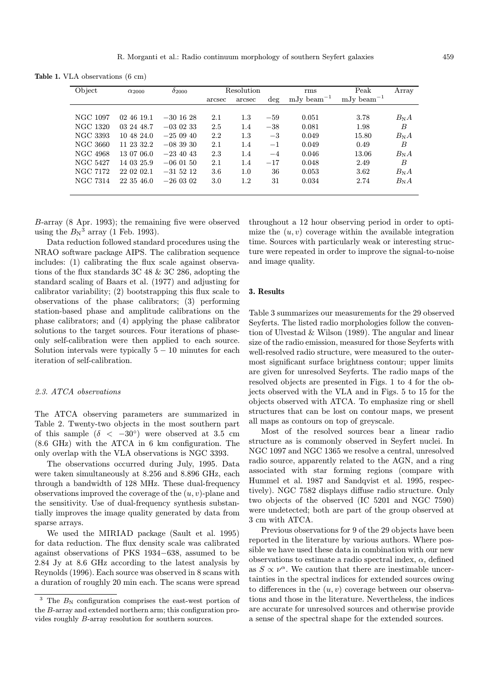Table 1. VLA observations (6 cm)

| Object          | $\alpha_{2000}$ | $\delta_{2000}$ | Resolution |         | rms   | Peak                                | Array                               |              |
|-----------------|-----------------|-----------------|------------|---------|-------|-------------------------------------|-------------------------------------|--------------|
|                 |                 |                 | arcsec     | arcsec  | deg   | mJy beam <sup><math>-1</math></sup> | mJy beam <sup><math>-1</math></sup> |              |
|                 |                 |                 |            |         |       |                                     |                                     |              |
| <b>NGC 1097</b> | 02 46 19.1      | $-30$ 16 28     | 2.1        | 1.3     | $-59$ | 0.051                               | 3.78                                | $B_{\rm N}A$ |
| NGC 1320        | 03 24 48.7      | $-0.30233$      | 2.5        | 1.4     | $-38$ | 0.081                               | 1.98                                | B            |
| NGC 3393        | 10 48 24.0      | $-250940$       | 2.2        | $1.3\,$ | $-3$  | 0.049                               | 15.80                               | $B_{\rm N}A$ |
| NGC 3660        | 11 23 32.2      | $-083930$       | 2.1        | 1.4     | $-1$  | 0.049                               | 0.49                                | B            |
| NGC 4968        | 13 07 06.0      | $-234043$       | 2.3        | 1.4     | $-4$  | 0.046                               | 13.06                               | $B_N A$      |
| NGC 5427        | 14 03 25.9      | $-060150$       | 2.1        | 1.4     | $-17$ | 0.048                               | 2.49                                | B            |
| NGC 7172        | 22 02 02.1      | $-31, 52, 12$   | 3.6        | 1.0     | 36    | 0.053                               | 3.62                                | $B_N A$      |
| NGC 7314        | 22 35 46.0      | $-260302$       | 3.0        | 1.2     | 31    | 0.034                               | 2.74                                | $B_N A$      |
|                 |                 |                 |            |         |       |                                     |                                     |              |

B-array (8 Apr. 1993); the remaining five were observed using the  $B_N^3$  array (1 Feb. 1993).

Data reduction followed standard procedures using the NRAO software package AIPS. The calibration sequence includes: (1) calibrating the flux scale against observations of the flux standards 3C 48 & 3C 286, adopting the standard scaling of Baars et al. (1977) and adjusting for calibrator variability; (2) bootstrapping this flux scale to observations of the phase calibrators; (3) performing station-based phase and amplitude calibrations on the phase calibrators; and (4) applying the phase calibrator solutions to the target sources. Four iterations of phaseonly self-calibration were then applied to each source. Solution intervals were typically  $5 - 10$  minutes for each iteration of self-calibration.

## 2.3. ATCA observations

The ATCA observing parameters are summarized in Table 2. Twenty-two objects in the most southern part of this sample  $(\delta \, < -30^{\circ})$  were observed at 3.5 cm (8.6 GHz) with the ATCA in 6 km configuration. The only overlap with the VLA observations is NGC 3393.

The observations occurred during July, 1995. Data were taken simultaneously at 8.256 and 8.896 GHz, each through a bandwidth of 128 MHz. These dual-frequency observations improved the coverage of the  $(u, v)$ -plane and the sensitivity. Use of dual-frequency synthesis substantially improves the image quality generated by data from sparse arrays.

We used the MIRIAD package (Sault et al. 1995) for data reduction. The flux density scale was calibrated against observations of PKS 1934−638, assumed to be 2.84 Jy at 8.6 GHz according to the latest analysis by Reynolds (1996). Each source was observed in 8 scans with a duration of roughly 20 min each. The scans were spread throughout a 12 hour observing period in order to optimize the  $(u, v)$  coverage within the available integration time. Sources with particularly weak or interesting structure were repeated in order to improve the signal-to-noise and image quality.

## 3. Results

Table 3 summarizes our measurements for the 29 observed Seyferts. The listed radio morphologies follow the convention of Ulvestad & Wilson (1989). The angular and linear size of the radio emission, measured for those Seyferts with well-resolved radio structure, were measured to the outermost significant surface brightness contour; upper limits are given for unresolved Seyferts. The radio maps of the resolved objects are presented in Figs. 1 to 4 for the objects observed with the VLA and in Figs. 5 to 15 for the objects observed with ATCA. To emphasize ring or shell structures that can be lost on contour maps, we present all maps as contours on top of greyscale.

Most of the resolved sources bear a linear radio structure as is commonly observed in Seyfert nuclei. In NGC 1097 and NGC 1365 we resolve a central, unresolved radio source, apparently related to the AGN, and a ring associated with star forming regions (compare with Hummel et al. 1987 and Sandqvist et al. 1995, respectively). NGC 7582 displays diffuse radio structure. Only two objects of the observed (IC 5201 and NGC 7590) were undetected; both are part of the group observed at 3 cm with ATCA.

Previous observations for 9 of the 29 objects have been reported in the literature by various authors. Where possible we have used these data in combination with our new observations to estimate a radio spectral index,  $\alpha$ , defined as  $S \propto \nu^{\alpha}$ . We caution that there are inestimable uncertainties in the spectral indices for extended sources owing to differences in the  $(u, v)$  coverage between our observations and those in the literature. Nevertheless, the indices are accurate for unresolved sources and otherwise provide a sense of the spectral shape for the extended sources.

 $3$  The  $B_N$  configuration comprises the east-west portion of the B-array and extended northern arm; this configuration provides roughly B-array resolution for southern sources.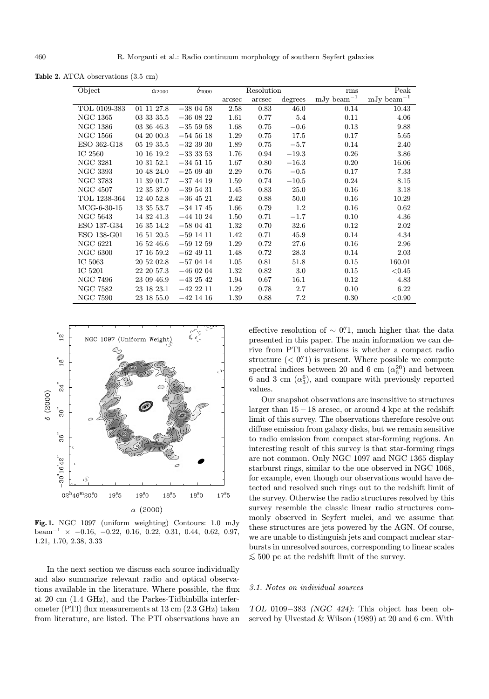Table 2. ATCA observations (3.5 cm)

| Object          | $\alpha_{2000}$ | $\delta_{2000}$ |        | Resolution |         | rms                 | Peak                |
|-----------------|-----------------|-----------------|--------|------------|---------|---------------------|---------------------|
|                 |                 |                 | arcsec | arcsec     | degrees | $\rm mJy~beam^{-1}$ | $\rm mJy~beam^{-1}$ |
| TOL 0109-383    | 01 11 27.8      | $-380458$       | 2.58   | 0.83       | 46.0    | 0.14                | 10.43               |
| <b>NGC 1365</b> | 03 33 35.5      | $-360822$       | 1.61   | 0.77       | 5.4     | 0.11                | 4.06                |
| <b>NGC 1386</b> | 03 36 46.3      | $-355958$       | 1.68   | 0.75       | $-0.6$  | 0.13                | 9.88                |
| <b>NGC 1566</b> | 04 20 00.3      | $-545618$       | 1.29   | 0.75       | 17.5    | 0.17                | 5.65                |
| ESO 362-G18     | 05 19 35.5      | $-323930$       | 1.89   | 0.75       | $-5.7$  | 0.14                | 2.40                |
| IC 2560         | 10 16 19.2      | $-33353$        | 1.76   | 0.94       | $-19.3$ | 0.26                | 3.86                |
| <b>NGC 3281</b> | 10 31 52.1      | $-34\;51\;15$   | 1.67   | 0.80       | $-16.3$ | 0.20                | 16.06               |
| NGC 3393        | 10 48 24.0      | $-250940$       | 2.29   | 0.76       | $-0.5$  | 0.17                | 7.33                |
| NGC 3783        | 11 39 01.7      | $-37$ 44 19     | 1.59   | 0.74       | $-10.5$ | 0.24                | 8.15                |
| <b>NGC 4507</b> | 12 35 37.0      | $-395431$       | 1.45   | 0.83       | 25.0    | 0.16                | 3.18                |
| TOL 1238-364    | 12 40 52.8      | $-36$ 45 21     | 2.42   | 0.88       | 50.0    | 0.16                | 10.29               |
| $MCG-6-30-15$   | 13 35 53.7      | $-34$ 17 45     | 1.66   | 0.79       | 1.2     | 0.16                | 0.62                |
| <b>NGC 5643</b> | 14 32 41.3      | $-44$ 10 24     | 1.50   | 0.71       | $-1.7$  | 0.10                | 4.36                |
| ESO 137-G34     | 16 35 14.2      | $-580441$       | 1.32   | 0.70       | 32.6    | 0.12                | 2.02                |
| ESO 138-G01     | 16 51 20.5      | $-59$ 14 11     | 1.42   | 0.71       | 45.9    | 0.14                | 4.34                |
| <b>NGC 6221</b> | 16 52 46.6      | $-59$ 12 59     | 1.29   | 0.72       | 27.6    | 0.16                | 2.96                |
| <b>NGC 6300</b> | 17 16 59.2      | $-62$ 49 11     | 1.48   | 0.72       | 28.3    | 0.14                | 2.03                |
| IC 5063         | 20 52 02.8      | $-570414$       | 1.05   | 0.81       | 51.8    | 0.15                | 160.01              |
| IC 5201         | 22 20 57.3      | $-460204$       | 1.32   | 0.82       | 3.0     | 0.15                | ${<}0.45$           |
| <b>NGC 7496</b> | 23 09 46.9      | $-432542$       | 1.94   | 0.67       | 16.1    | 0.12                | 4.83                |
| <b>NGC 7582</b> | 23 18 23.1      | $-42211$        | 1.29   | 0.78       | $2.7\,$ | 0.10                | 6.22                |
| NGC 7590        | 23 18 55.0      | $-42$ 14 16     | 1.39   | 0.88       | 7.2     | 0.30                | ${<}0.90$           |



Fig. 1. NGC 1097 (uniform weighting) Contours: 1.0 mJy beam<sup>-1</sup> × -0.16, -0.22, 0.16, 0.22, 0.31, 0.44, 0.62, 0.97, 1.21, 1.70, 2.38, 3.33

In the next section we discuss each source individually and also summarize relevant radio and optical observations available in the literature. Where possible, the flux at 20 cm (1.4 GHz), and the Parkes-Tidbinbilla interferometer (PTI) flux measurements at 13 cm (2.3 GHz) taken from literature, are listed. The PTI observations have an

effective resolution of  $\sim$  0". much higher that the data presented in this paper. The main information we can derive from PTI observations is whether a compact radio structure  $( $0$$ .<sup> $\prime$ </sup> is present. Where possible we compute spectral indices between 20 and 6 cm  $(\alpha_6^{20})$  and between 6 and 3 cm  $(\alpha_3^6)$ , and compare with previously reported values.

Our snapshot observations are insensitive to structures larger than 15−18 arcsec, or around 4 kpc at the redshift limit of this survey. The observations therefore resolve out diffuse emission from galaxy disks, but we remain sensitive to radio emission from compact star-forming regions. An interesting result of this survey is that star-forming rings are not common. Only NGC 1097 and NGC 1365 display starburst rings, similar to the one observed in NGC 1068, for example, even though our observations would have detected and resolved such rings out to the redshift limit of the survey. Otherwise the radio structures resolved by this survey resemble the classic linear radio structures commonly observed in Seyfert nuclei, and we assume that these structures are jets powered by the AGN. Of course, we are unable to distinguish jets and compact nuclear starbursts in unresolved sources, corresponding to linear scales  $≤ 500$  pc at the redshift limit of the survey.

#### 3.1. Notes on individual sources

TOL 0109−383 (NGC 424): This object has been observed by Ulvestad & Wilson (1989) at 20 and 6 cm. With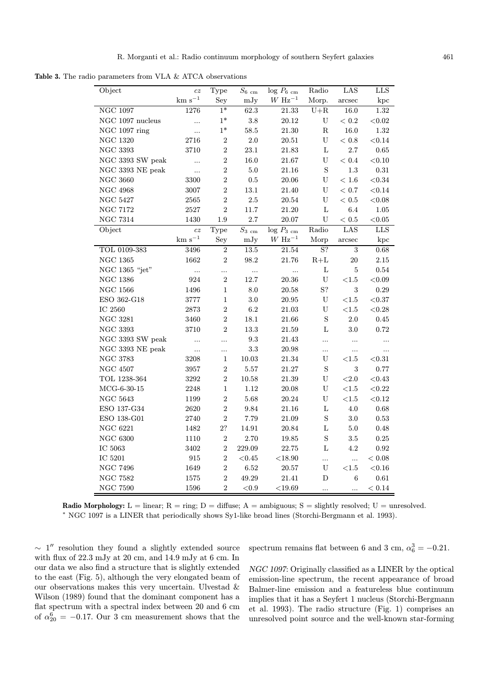Table 3. The radio parameters from VLA & ATCA observations

| Object                       | cz                | Type           | $S_{\rm 6\ cm}$     | $log P_6$ <sub>cm</sub> | Radio                     | LAS            | <b>LLS</b>   |
|------------------------------|-------------------|----------------|---------------------|-------------------------|---------------------------|----------------|--------------|
|                              | $\rm km~s^{-1}$   | Sey            | mJy                 | $W$ Hz <sup>-1</sup>    | Morp.                     | arcsec         | kpc          |
| <b>NGC 1097</b>              | 1276              | $1*$           | 62.3                | 21.33                   | $U + R$                   | 16.0           | $1.32\,$     |
| NGC 1097 nucleus             | $\cdots$          | $1*$           | $3.8\,$             | $20.12\,$               | $\ensuremath{\mathrm{U}}$ | $<\,0.2$       | $<\!0.02$    |
| NGC 1097 ring                | $\ddotsc$         | $1*$           | 58.5                | 21.30                   | $\rm R$                   | $16.0\,$       | $1.32\,$     |
| <b>NGC 1320</b>              | 2716              | $\sqrt{2}$     | 2.0                 | 20.51                   | $\mathbf U$               | $<\,0.8$       | ${<}0.14$    |
| $\rm NGC$ 3393               | 3710              | $\overline{2}$ | $23.1\,$            | 21.83                   | $\mathbf L$               | $2.7\,$        | $\rm 0.65$   |
| NGC 3393 SW peak             | $\cdots$          | $\overline{2}$ | 16.0                | 21.67                   | U                         | $<\,0.4$       | $<\!0.10$    |
| $\rm NGC$ 3393 $\rm NE$ peak | $\cdots$          | $\overline{2}$ | 5.0                 | 21.16                   | S                         | $1.3\,$        | $\rm 0.31$   |
| <b>NGC 3660</b>              | 3300              | $\overline{2}$ | 0.5                 | 20.06                   | U                         | $<\,1.6$       | $<\!0.34$    |
| <b>NGC 4968</b>              | 3007              | $\overline{2}$ | 13.1                | $21.40\,$               | U                         | $<\,0.7$       | ${<}0.14$    |
| <b>NGC 5427</b>              | 2565              | $\sqrt{2}$     | $2.5\,$             | $20.54\,$               | U                         | $<\,0.5$       | $<\!0.08$    |
| <b>NGC 7172</b>              | $2527\,$          | $\overline{2}$ | 11.7                | $21.20\,$               | $\mathbf L$               | 6.4            | 1.05         |
| <b>NGC 7314</b>              | 1430              | 1.9            | 2.7                 | 20.07                   | $\mathbf U$               | $<\,0.5$       | < 0.05       |
| Object                       | $c\boldsymbol{z}$ | Type           | $\overline{S_3}$ cm | $log P_{3 cm}$          | $\rm Radio$               | LAS            | $_{\rm LLS}$ |
|                              | $\rm km~s^{-1}$   | Sey            | mJy                 | $W$ Hz <sup>-1</sup>    | Morp                      | arcsec         | kpc          |
| TOL 0109-383                 | $3496\,$          | $\overline{2}$ | $13.5\,$            | $21.54\,$               | $\overline{S}$ ?          | $\overline{3}$ | 0.68         |
| <b>NGC 1365</b>              | 1662              | $\overline{2}$ | 98.2                | 21.76                   | $R+L$                     | $20\,$         | $2.15\,$     |
| NGC 1365 "jet"               | $\cdots$          |                | $\cdots$            | $\ddots$                | $\mathbf L$               | $\overline{5}$ | $\rm 0.54$   |
| <b>NGC 1386</b>              | 924               | $\overline{2}$ | 12.7                | 20.36                   | U                         | ${<}1.5$       | $<\!\!0.09$  |
| $\rm NGC$ 1566               | 1496              | $\mathbf{1}$   | $\!\!\!\!\!8.0$     | 20.58                   | S?                        | $\sqrt{3}$     | 0.29         |
| ESO 362-G18                  | 3777              | $\mathbf{1}$   | $3.0\,$             | $20.95\,$               | ${\bf U}$                 | ${<}1.5$       | $<\!0.37$    |
| IC $2560\,$                  | 2873              | $\overline{2}$ | 6.2                 | 21.03                   | U                         | ${<}1.5$       | $<\!0.28$    |
| $\rm NGC~3281$               | 3460              | $\overline{2}$ | $18.1\,$            | $21.66\,$               | S                         | $2.0\,$        | $0.45\,$     |
| <b>NGC 3393</b>              | 3710              | $\overline{2}$ | 13.3                | 21.59                   | $\mathbf L$               | 3.0            | 0.72         |
| NGC 3393 SW peak             | $\ddotsc$         | $\ddotsc$      | 9.3                 | $21.43\,$               | $\ddotsc$                 |                | $\cdots$     |
| NGC 3393 NE peak             | $\ldots$          | $\cdots$       | $\!3.3$             | 20.98                   | $\cdots$                  | $\cdots$       | $\cdots$     |
| $\rm NGC$ 3783               | 3208              | $\mathbf{1}$   | 10.03               | $21.34\,$               | U                         | ${<}1.5$       | $<\!\!0.31$  |
| $\rm NGC$ $4507$             | 3957              | $\overline{2}$ | $5.57\,$            | 21.27                   | $\mathbf S$               | $\sqrt{3}$     | 0.77         |
| TOL 1238-364                 | 3292              | $\overline{2}$ | 10.58               | 21.39                   | $\ensuremath{\mathrm{U}}$ | ${<}2.0$       | < 0.43       |
| $MCG-6-30-15$                | 2248              | $\mathbf{1}$   | 1.12                | 20.08                   | U                         | ${<}1.5\,$     | $<\!0.22$    |
| $\rm NGC~5643$               | 1199              | $\overline{2}$ | $5.68\,$            | 20.24                   | U                         | $<\!\!1.5$     | $<\!0.12$    |
| ESO 137-G34                  | 2620              | $\overline{2}$ | 9.84                | 21.16                   | L                         | $4.0\,$        | 0.68         |
| ESO 138-G01                  | 2740              | $\overline{2}$ | $7.79\,$            | 21.09                   | $\mathbf S$               | 3.0            | 0.53         |
| <b>NGC 6221</b>              | 1482              | 2?             | 14.91               | 20.84                   | L                         | $5.0\,$        | 0.48         |
| <b>NGC 6300</b>              | 1110              | $\overline{2}$ | 2.70                | 19.85                   | $\mathbf S$               | 3.5            | 0.25         |
| $\rm IC$ 5063                | 3402              | $\overline{2}$ | 229.09              | 22.75                   | L                         | 4.2            | $\rm 0.92$   |
| IC 5201                      | 915               | $\overline{2}$ | < 0.45              | $<$ 18.90               |                           | $\cdots$       | $<0.08\,$    |
| <b>NGC 7496</b>              | 1649              | $\sqrt{2}$     | $6.52\,$            | $20.57\,$               | U                         | ${<}1.5\,$     | $<\!\!0.16$  |
| <b>NGC 7582</b>              | 1575              | $\overline{2}$ | 49.29               | 21.41                   | D                         | 6              | $\rm 0.61$   |
| <b>NGC 7590</b>              | 1596              | $\overline{2}$ | ${<}0.9$            | $<$ 19.69               | $\cdots$                  | $\ddotsc$      | $< 0.14\,$   |

**Radio Morphology:**  $L = \text{linear}$ ;  $R = \text{ring}$ ;  $D = \text{diffuse}$ ;  $A = \text{ambiguous}$ ;  $S = \text{slightly resolved}$ ;  $U = \text{unresolved}$ . <sup>∗</sup> NGC 1097 is a LINER that periodically shows Sy1-like broad lines (Storchi-Bergmann et al. 1993).

 $\sim$  1<sup>0</sup> resolution they found a slightly extended source with flux of 22.3 mJy at 20 cm, and 14.9 mJy at 6 cm. In our data we also find a structure that is slightly extended to the east (Fig. 5), although the very elongated beam of our observations makes this very uncertain. Ulvestad & Wilson (1989) found that the dominant component has a flat spectrum with a spectral index between 20 and 6 cm of  $\alpha_{20}^6 = -0.17$ . Our 3 cm measurement shows that the

spectrum remains flat between 6 and 3 cm,  $\alpha_6^3 = -0.21$ .

NGC 1097: Originally classified as a LINER by the optical emission-line spectrum, the recent appearance of broad Balmer-line emission and a featureless blue continuum implies that it has a Seyfert 1 nucleus (Storchi-Bergmann et al. 1993). The radio structure (Fig. 1) comprises an unresolved point source and the well-known star-forming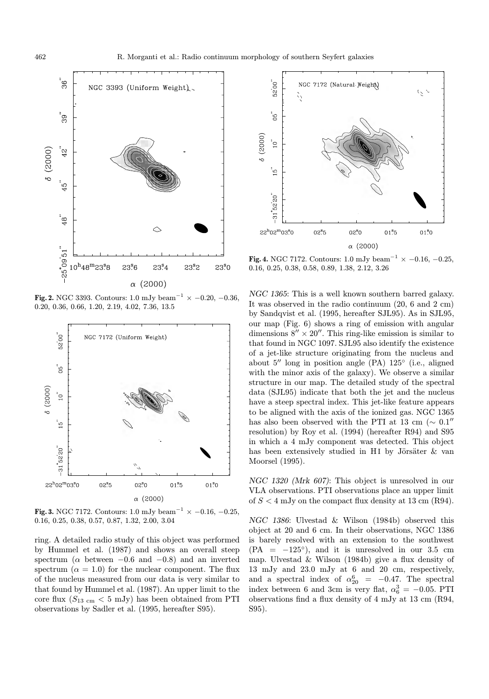

Fig. 2. NGC 3393. Contours: 1.0 mJy beam<sup>-1</sup> × −0.20, −0.36, 0.20, 0.36, 0.66, 1.20, 2.19, 4.02, 7.36, 13.5



**Fig. 3.** NGC 7172. Contours: 1.0 mJy beam<sup>-1</sup>  $\times$  -0.16, -0.25, 0.16, 0.25, 0.38, 0.57, 0.87, 1.32, 2.00, 3.04

ring. A detailed radio study of this object was performed by Hummel et al. (1987) and shows an overall steep spectrum ( $\alpha$  between  $-0.6$  and  $-0.8$ ) and an inverted spectrum ( $\alpha = 1.0$ ) for the nuclear component. The flux of the nucleus measured from our data is very similar to that found by Hummel et al. (1987). An upper limit to the core flux  $(S_{13 \text{ cm}} < 5 \text{ mJy})$  has been obtained from PTI observations by Sadler et al. (1995, hereafter S95).



**Fig. 4.** NGC 7172. Contours: 1.0 mJy beam<sup>-1</sup>  $\times$  -0.16, -0.25, 0.16, 0.25, 0.38, 0.58, 0.89, 1.38, 2.12, 3.26

NGC 1365: This is a well known southern barred galaxy. It was observed in the radio continuum (20, 6 and 2 cm) by Sandqvist et al. (1995, hereafter SJL95). As in SJL95, our map (Fig. 6) shows a ring of emission with angular dimensions  $8'' \times 20''$ . This ring-like emission is similar to that found in NGC 1097. SJL95 also identify the existence of a jet-like structure originating from the nucleus and about  $5''$  long in position angle (PA)  $125°$  (i.e., aligned with the minor axis of the galaxy). We observe a similar structure in our map. The detailed study of the spectral data (SJL95) indicate that both the jet and the nucleus have a steep spectral index. This jet-like feature appears to be aligned with the axis of the ionized gas. NGC 1365 has also been observed with the PTI at 13 cm ( $\sim 0.1$ <sup>"</sup> resolution) by Roy et al. (1994) (hereafter R94) and S95 in which a 4 mJy component was detected. This object has been extensively studied in H<sub>I</sub> by Jörsäter  $\&$  van Moorsel (1995).

NGC 1320 (Mrk 607): This object is unresolved in our VLA observations. PTI observations place an upper limit of  $S < 4$  mJy on the compact flux density at 13 cm (R94).

NGC 1386: Ulvestad & Wilson (1984b) observed this object at 20 and 6 cm. In their observations, NGC 1386 is barely resolved with an extension to the southwest  $(PA = -125\degree)$ , and it is unresolved in our 3.5 cm map. Ulvestad & Wilson (1984b) give a flux density of 13 mJy and 23.0 mJy at 6 and 20 cm, respectively, and a spectral index of  $\alpha_{20}^6$  = -0.47. The spectral index between 6 and 3cm is very flat,  $\alpha_6^3 = -0.05$ . PTI observations find a flux density of 4 mJy at 13 cm (R94, S95).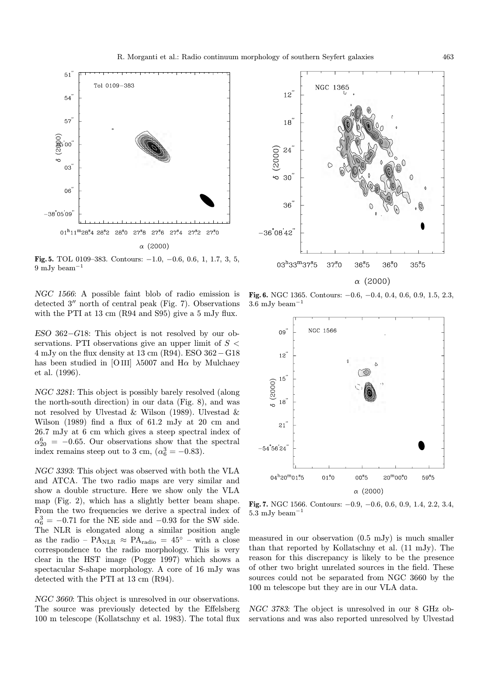

Fig. 5. TOL 0109–383. Contours:  $-1.0$ ,  $-0.6$ , 0.6, 1, 1.7, 3, 5, 9 mJy beam<sup>−</sup><sup>1</sup>

NGC 1566: A possible faint blob of radio emission is detected  $3''$  north of central peak (Fig. 7). Observations with the PTI at 13 cm (R94 and S95) give a 5 mJy flux.

ESO 362−G18: This object is not resolved by our observations. PTI observations give an upper limit of  $S <$ 4 mJy on the flux density at 13 cm (R94). ESO 362−G18 has been studied in [O III]  $\lambda$ 5007 and H $\alpha$  by Mulchaey et al. (1996).

NGC 3281: This object is possibly barely resolved (along the north-south direction) in our data (Fig. 8), and was not resolved by Ulvestad & Wilson (1989). Ulvestad & Wilson (1989) find a flux of 61.2 mJy at 20 cm and 26.7 mJy at 6 cm which gives a steep spectral index of  $\alpha_{20}^6$  = -0.65. Our observations show that the spectral index remains steep out to 3 cm,  $(\alpha_6^3 = -0.83)$ .

NGC 3393: This object was observed with both the VLA and ATCA. The two radio maps are very similar and show a double structure. Here we show only the VLA map (Fig. 2), which has a slightly better beam shape. From the two frequencies we derive a spectral index of  $\alpha_6^3 = -0.71$  for the NE side and  $-0.93$  for the SW side. The NLR is elongated along a similar position angle as the radio –  $PA<sub>NLR</sub> \approx PA<sub>radio</sub> = 45<sup>°</sup>$  – with a close correspondence to the radio morphology. This is very clear in the HST image (Pogge 1997) which shows a spectacular S-shape morphology. A core of 16 mJy was detected with the PTI at 13 cm (R94).

NGC 3660: This object is unresolved in our observations. The source was previously detected by the Effelsberg 100 m telescope (Kollatschny et al. 1983). The total flux



Fig. 6. NGC 1365. Contours: −0.6, −0.4, 0.4, 0.6, 0.9, 1.5, 2.3, 3.6 mJy beam<sup>−</sup><sup>1</sup>



Fig. 7. NGC 1566. Contours: −0.9, −0.6, 0.6, 0.9, 1.4, 2.2, 3.4, 5.3 mJy beam<sup> $-1$ </sup>

measured in our observation (0.5 mJy) is much smaller than that reported by Kollatschny et al. (11 mJy). The reason for this discrepancy is likely to be the presence of other two bright unrelated sources in the field. These sources could not be separated from NGC 3660 by the 100 m telescope but they are in our VLA data.

NGC 3783: The object is unresolved in our 8 GHz observations and was also reported unresolved by Ulvestad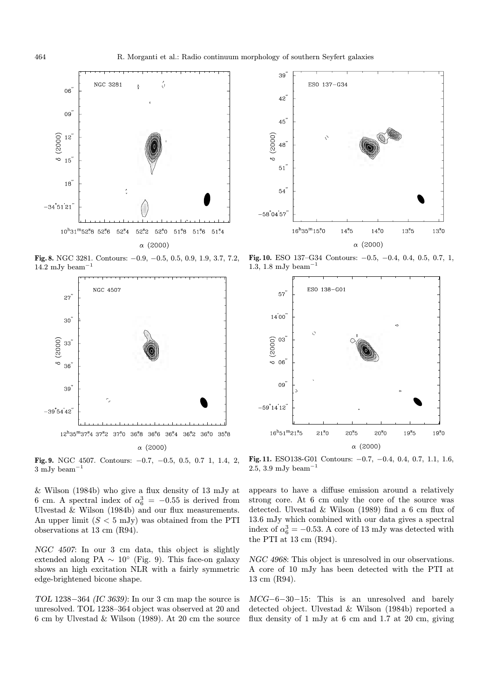

Fig. 8. NGC 3281. Contours: −0.9, −0.5, 0.5, 0.9, 1.9, 3.7, 7.2, 14.2 mJy beam<sup> $-1$ </sup>





Fig. 10. ESO 137–G34 Contours: −0.5, −0.4, 0.4, 0.5, 0.7, 1, 1.3, 1.8 mJy beam<sup>−</sup><sup>1</sup>



Fig. 9. NGC 4507. Contours: −0.7, −0.5, 0.5, 0.7 1, 1.4, 2, 3 mJy beam<sup>−</sup><sup>1</sup>

Fig. 11. ESO138-G01 Contours: −0.7, −0.4, 0.4, 0.7, 1.1, 1.6, 2.5, 3.9 mJy beam<sup>-1</sup>

& Wilson (1984b) who give a flux density of 13 mJy at 6 cm. A spectral index of  $\alpha_6^3 = -0.55$  is derived from Ulvestad & Wilson (1984b) and our flux measurements. An upper limit  $(S < 5$  mJy) was obtained from the PTI observations at 13 cm (R94).

NGC 4507: In our 3 cm data, this object is slightly extended along PA  $\sim 10^{\circ}$  (Fig. 9). This face-on galaxy shows an high excitation NLR with a fairly symmetric edge-brightened bicone shape.

TOL 1238−364 (IC 3639): In our 3 cm map the source is unresolved. TOL 1238–364 object was observed at 20 and 6 cm by Ulvestad & Wilson (1989). At 20 cm the source appears to have a diffuse emission around a relatively strong core. At 6 cm only the core of the source was detected. Ulvestad & Wilson (1989) find a 6 cm flux of 13.6 mJy which combined with our data gives a spectral index of  $\alpha_6^3 = -0.53$ . A core of 13 mJy was detected with the PTI at 13 cm (R94).

NGC 4968: This object is unresolved in our observations. A core of 10 mJy has been detected with the PTI at 13 cm (R94).

MCG−6−30−15: This is an unresolved and barely detected object. Ulvestad & Wilson (1984b) reported a flux density of 1 mJy at 6 cm and 1.7 at 20 cm, giving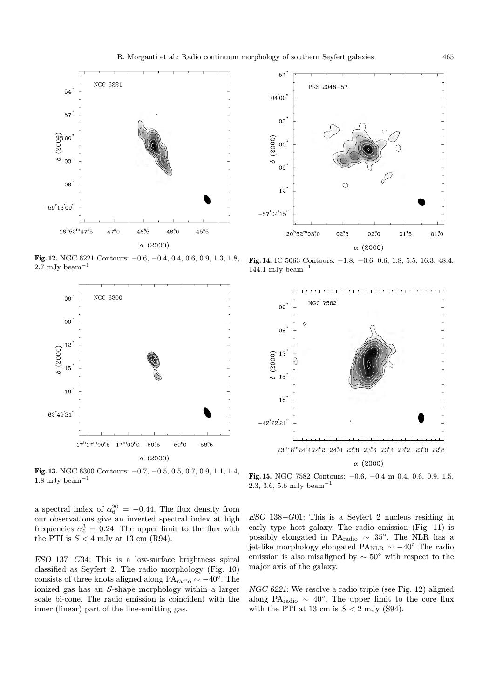

Fig. 12. NGC 6221 Contours: −0.6, −0.4, 0.4, 0.6, 0.9, 1.3, 1.8,  $2.7 \mathrm{mJy}\ \mathrm{beam}^{-1}$ 





Fig. 14. IC 5063 Contours: −1.8, −0.6, 0.6, 1.8, 5.5, 16.3, 48.4,  $144.1 \mathrm{~mJy~beam}^{-1}$ 



Fig. 13. NGC 6300 Contours: −0.7, −0.5, 0.5, 0.7, 0.9, 1.1, 1.4,  $1.8 \mathrm{mJy}\ \mathrm{beam}^{-1}$ 

a spectral index of  $\alpha_6^{20} = -0.44$ . The flux density from our observations give an inverted spectral index at high frequencies  $\alpha_6^3 = 0.24$ . The upper limit to the flux with the PTI is  $S < 4$  mJy at 13 cm (R94).

ESO 137−G34: This is a low-surface brightness spiral classified as Seyfert 2. The radio morphology (Fig. 10) consists of three knots aligned along PA<sub>radio</sub>  $\sim -40^\circ$ . The ionized gas has an S-shape morphology within a larger scale bi-cone. The radio emission is coincident with the inner (linear) part of the line-emitting gas.

Fig. 15. NGC 7582 Contours: −0.6, −0.4 m 0.4, 0.6, 0.9, 1.5, 2.3, 3.6, 5.6 mJy beam<sup>−</sup><sup>1</sup>

ESO 138−G01: This is a Seyfert 2 nucleus residing in early type host galaxy. The radio emission (Fig. 11) is possibly elongated in PA<sub>radio</sub>  $\sim$  35°. The NLR has a jet-like morphology elongated PA<sub>NLR</sub>  $\sim$  −40° The radio emission is also misaligned by  $\sim 50^{\circ}$  with respect to the major axis of the galaxy.

NGC 6221: We resolve a radio triple (see Fig. 12) aligned along PA<sub>radio</sub> ~ 40°. The upper limit to the core flux with the PTI at 13 cm is  $S < 2$  mJy (S94).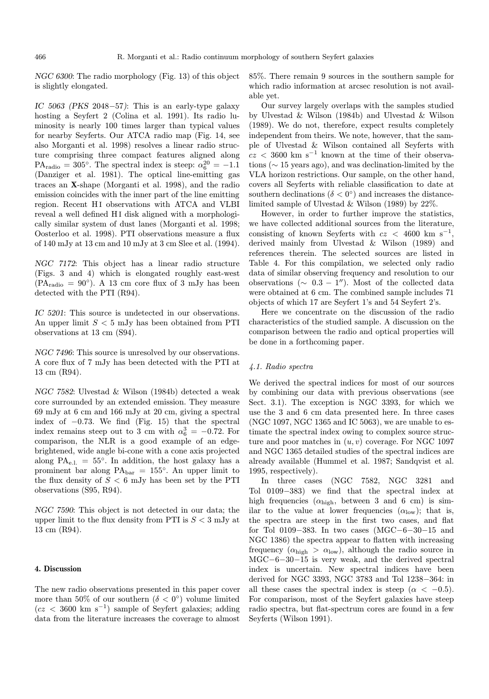NGC 6300: The radio morphology (Fig. 13) of this object is slightly elongated.

IC 5063 (PKS 2048−57): This is an early-type galaxy hosting a Seyfert 2 (Colina et al. 1991). Its radio luminosity is nearly 100 times larger than typical values for nearby Seyferts. Our ATCA radio map (Fig. 14, see also Morganti et al. 1998) resolves a linear radio structure comprising three compact features aligned along  $PA_{\text{radio}} = 305^{\circ}$ . The spectral index is steep:  $\alpha_6^{20} = -1.1$ (Danziger et al. 1981). The optical line-emitting gas traces an X-shape (Morganti et al. 1998), and the radio emission coincides with the inner part of the line emitting region. Recent HI observations with ATCA and VLBI reveal a well defined H I disk aligned with a morphologically similar system of dust lanes (Morganti et al. 1998; Oosterloo et al. 1998). PTI observations measure a flux of 140 mJy at 13 cm and 10 mJy at 3 cm Slee et al. (1994).

NGC 7172: This object has a linear radio structure (Figs. 3 and 4) which is elongated roughly east-west  $(PA_{radio} = 90^{\circ})$ . A 13 cm core flux of 3 mJy has been detected with the PTI (R94).

IC 5201: This source is undetected in our observations. An upper limit  $S < 5$  mJy has been obtained from PTI observations at 13 cm (S94).

NGC 7496: This source is unresolved by our observations. A core flux of 7 mJy has been detected with the PTI at 13 cm (R94).

NGC 7582: Ulvestad & Wilson (1984b) detected a weak core surrounded by an extended emission. They measure 69 mJy at 6 cm and 166 mJy at 20 cm, giving a spectral index of  $-0.73$ . We find (Fig. 15) that the spectral index remains steep out to 3 cm with  $\alpha_6^3 = -0.72$ . For comparison, the NLR is a good example of an edgebrightened, wide angle bi-cone with a cone axis projected along  $PA_{e,l.} = 55^{\circ}$ . In addition, the host galaxy has a prominent bar along PAbar = 155◦. An upper limit to the flux density of  $S < 6$  mJy has been set by the PTI observations (S95, R94).

NGC 7590: This object is not detected in our data; the upper limit to the flux density from PTI is  $S < 3$  mJy at 13 cm (R94).

# 4. Discussion

The new radio observations presented in this paper cover more than 50% of our southern ( $\delta < 0^{\circ}$ ) volume limited  $(cz < 3600 \text{ km s}^{-1})$  sample of Seyfert galaxies; adding data from the literature increases the coverage to almost

85%. There remain 9 sources in the southern sample for which radio information at arcsec resolution is not available yet.

Our survey largely overlaps with the samples studied by Ulvestad & Wilson (1984b) and Ulvestad & Wilson (1989). We do not, therefore, expect results completely independent from theirs. We note, however, that the sample of Ulvestad & Wilson contained all Seyferts with  $cz < 3600$  km s<sup>-1</sup> known at the time of their observations (∼ 15 years ago), and was declination-limited by the VLA horizon restrictions. Our sample, on the other hand, covers all Seyferts with reliable classification to date at southern declinations ( $\delta < 0^{\circ}$ ) and increases the distancelimited sample of Ulvestad & Wilson (1989) by 22%.

However, in order to further improve the statistics, we have collected additional sources from the literature, consisting of known Seyferts with  $cz < 4600 \text{ km s}^{-1}$ , derived mainly from Ulvestad & Wilson (1989) and references therein. The selected sources are listed in Table 4. For this compilation, we selected only radio data of similar observing frequency and resolution to our observations ( $\sim$  0.3 − 1"). Most of the collected data were obtained at 6 cm. The combined sample includes 71 objects of which 17 are Seyfert 1's and 54 Seyfert 2's.

Here we concentrate on the discussion of the radio characteristics of the studied sample. A discussion on the comparison between the radio and optical properties will be done in a forthcoming paper.

## 4.1. Radio spectra

We derived the spectral indices for most of our sources by combining our data with previous observations (see Sect. 3.1). The exception is NGC 3393, for which we use the 3 and 6 cm data presented here. In three cases (NGC 1097, NGC 1365 and IC 5063), we are unable to estimate the spectral index owing to complex source structure and poor matches in  $(u, v)$  coverage. For NGC 1097 and NGC 1365 detailed studies of the spectral indices are already available (Hummel et al. 1987; Sandqvist et al. 1995, respectively).

In three cases (NGC 7582, NGC 3281 and Tol 0109−383) we find that the spectral index at high frequencies  $(\alpha_{\text{high}}$ , between 3 and 6 cm) is similar to the value at lower frequencies  $(\alpha_{\text{low}})$ ; that is, the spectra are steep in the first two cases, and flat for Tol 0109−383. In two cases (MGC−6−30−15 and NGC 1386) the spectra appear to flatten with increasing frequency  $(\alpha_{\text{high}} > \alpha_{\text{low}})$ , although the radio source in MGC−6−30−15 is very weak, and the derived spectral index is uncertain. New spectral indices have been derived for NGC 3393, NGC 3783 and Tol 1238−364: in all these cases the spectral index is steep ( $\alpha < -0.5$ ). For comparison, most of the Seyfert galaxies have steep radio spectra, but flat-spectrum cores are found in a few Seyferts (Wilson 1991).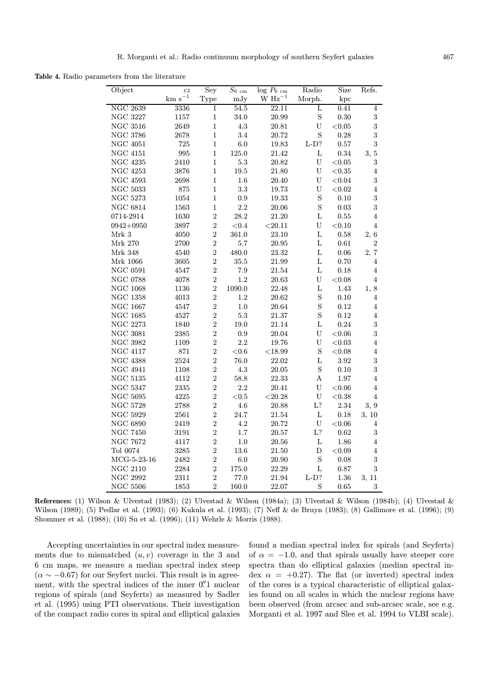Table 4. Radio parameters from the literature

| Object               | cz              | Sey            | $S_{6\rm cm}$ | $log P_6$ <sub>cm</sub> | Radio                     | Size        | Refs.                   |
|----------------------|-----------------|----------------|---------------|-------------------------|---------------------------|-------------|-------------------------|
|                      | $\rm km~s^{-1}$ | Type           | mJy           | $\rm W~Hz^{-1}$         | Morph.                    | kpc         |                         |
| <b>NGC 2639</b>      | 3336            | 1              | 54.5          | $\overline{22.1}1$      | L                         | 0.41        | $\overline{4}$          |
| $\rm NGC$ 3227       | 1157            | $\mathbf{1}$   | 34.0          | 20.99                   | S                         | 0.30        | $\sqrt{3}$              |
| $\rm NGC~3516$       | 2649            | $\mathbf{1}$   | $4.3\,$       | 20.81                   | $\mathbf U$               | $<\!\!0.05$ | $\sqrt{3}$              |
| <b>NGC 3786</b>      | 2678            | $\mathbf{1}$   | 3.4           | 20.72                   | $\rm S$                   | 0.28        | $\boldsymbol{3}$        |
| $\rm NGC$ $\,4051$   | 725             | $\mathbf{1}$   | 6.0           | 19.83                   | $L-D?$                    | 0.57        | 3                       |
| $\rm NGC$ $\rm 4151$ | 995             | $\,1$          | $125.0\,$     | $21.42\,$               | $\mathbf L$               | 0.34        | 3, 5                    |
| $\rm NGC$ 4235       | 2410            | $\mathbf{1}$   | $5.3\,$       | 20.82                   | $\mathbf U$               | $<\!\!0.05$ | $\overline{\mathbf{3}}$ |
| <b>NGC 4253</b>      | 3876            | $\mathbf{1}$   | 19.5          | 21.80                   | $\ensuremath{\mathrm{U}}$ | $<\!\!0.35$ | $\overline{4}$          |
| <b>NGC 4593</b>      | 2698            | $\mathbf{1}$   | $1.6\,$       | 20.40                   | $\ensuremath{\mathrm{U}}$ | ${<}0.04$   | $\,3$                   |
| $\rm NGC~5033$       | 875             | $\mathbf{1}$   | 3.3           | 19.73                   | U                         | $<\!\!0.02$ | $\bf{4}$                |
| $\rm NGC~5273$       | 1054            | $\mathbf{1}$   | $\rm 0.9$     | 19.33                   | $\mathbf S$               | 0.10        | $\sqrt{3}$              |
| NGC $6814\,$         | 1563            | $\mathbf{1}$   | 2.2           | 20.06                   | $\rm S$                   | $\rm 0.03$  | $\overline{\mathbf{3}}$ |
| 0714-2914            | 1630            | $\overline{2}$ | 28.2          | 21.20                   | $\mathbf L$               | 0.55        | $\overline{4}$          |
| $0942 + 0950$        | 3897            | $\overline{2}$ | $<\!0.4$      | < 20.11                 | $\mathbf U$               | < 0.10      | $\overline{4}$          |
| Mrk $3\,$            | 4050            | $\overline{2}$ | 361.0         | 23.10                   | $\mathbf L$               | 0.58        | 2, 6                    |
| Mrk 270              | 2700            | $\overline{2}$ | 5.7           | $20.95\,$               | L                         | $0.61\,$    | $\overline{2}$          |
| Mrk 348              | 4540            | $\overline{2}$ | 480.0         | 23.32                   | $\mathbf L$               | $0.06\,$    | 2, 7                    |
| Mrk 1066             | 3605            | $\overline{2}$ | $35.5\,$      | 21.99                   | $\mathbf L$               | 0.70        | $\overline{4}$          |
| $\rm NGC$ 0591       | 4547            | $\overline{2}$ | $7.9\,$       | $21.54\,$               | $\mathbf L$               | 0.18        | $\bf{4}$                |
| $\rm NGC$ 0788       | 4078            | $\overline{2}$ | $1.2\,$       | 20.63                   | U                         | < 0.08      | $\overline{4}$          |
| $\rm NGC$ 1068       | 1136            | $\overline{2}$ | 1090.0        | 22.48                   | $\mathbf L$               | 1.43        | 1, 8                    |
| $\rm NGC$ 1358       | 4013            | $\overline{2}$ | $1.2\,$       | $20.62\,$               | $\rm S$                   | 0.10        | 4                       |
| $\rm NGC$ 1667       | 4547            | $\overline{2}$ | $1.0\,$       | 20.64                   | $\mathbf S$               | 0.12        | 4                       |
| NGC $1685\,$         | 4527            | $\overline{2}$ | 5.3           | 21.37                   | $\mathbf S$               | 0.12        | $\overline{4}$          |
| $\rm NGC$ 2273       | 1840            | $\overline{2}$ | 19.0          | 21.14                   | L                         | 0.24        | $\overline{\mathbf{3}}$ |
| <b>NGC 3081</b>      | 2385            | $\overline{2}$ | 0.9           | $20.04\,$               | $\ensuremath{\mathrm{U}}$ | $<\!\!0.06$ | $\sqrt{3}$              |
| <b>NGC 3982</b>      | 1109            | $\overline{2}$ | $2.2\,$       | 19.76                   | $\mathbf U$               | $<\!\!0.03$ | $\overline{4}$          |
| $\rm NGC$ $4117$     | 871             | $\overline{2}$ | $<\!0.6$      | $<\!\!18.99$            | $\mathbf S$               | < 0.08      | $\overline{4}$          |
| $\rm NGC$ $4388$     | 2524            | $\overline{2}$ | 76.0          | 22.02                   | $\mathbf L$               | 3.92        | $\sqrt{3}$              |
| $\rm NGC$ 4941       | 1108            | $\overline{2}$ | $4.3\,$       | 20.05                   | $\mathbf S$               | 0.10        | $\sqrt{3}$              |
| $\rm NGC~5135$       | 4112            | $\overline{2}$ | 58.8          | 22.33                   | Α                         | 1.97        | $\overline{4}$          |
| <b>NGC 5347</b>      | 2335            | $\overline{2}$ | 2.2           | 20.41                   | $\ensuremath{\mathrm{U}}$ | < 0.06      | $\overline{4}$          |
| $\rm NGC$ 5695       | 4225            | $\overline{2}$ | < 0.5         | ${<}20.28$              | $\ensuremath{\mathrm{U}}$ | < 0.38      | $\overline{4}$          |
| $\rm NGC~5728$       | 2788            | $\overline{2}$ | $4.6\,$       | $20.88\,$               | L?                        | 2.34        | 3, 9                    |
| NGC $5929\,$         | 2561            | $\overline{2}$ | 24.7          | $21.54\,$               | $\mathbf L$               | 0.18        | 3, 10                   |
| <b>NGC 6890</b>      | 2419            | $\overline{2}$ | 4.2           | $20.72\,$               | ${\bf U}$                 | < 0.06      | $\overline{4}$          |
| <b>NGC 7450</b>      | 3191            | $\overline{2}$ | 1.7           | 20.57                   | L?                        | 0.62        | 3                       |
| <b>NGC 7672</b>      | 4117            | $\overline{2}$ | $1.0\,$       | $20.56\,$               | $\mathbf L$               | 1.86        | $\bf{4}$                |
| Tol 0074             | 3285            | $\overline{2}$ | 13.6          | $21.50\,$               | D                         | ${<}0.09$   | $\bf{4}$                |
| $MCG-5-23-16$        | 2482            | $\overline{2}$ | $6.0\,$       | $20.90\,$               | $\mathbf S$               | 0.08        | $\,3$                   |
| <b>NGC 2110</b>      | $\bf 2284$      | $\overline{2}$ | 175.0         | 22.29                   | L                         | 0.87        | 3                       |
| <b>NGC 2992</b>      | 2311            | $\overline{2}$ | 77.0          | 21.94                   | $L-D?$                    | 1.36        | 3, 11                   |
| <b>NGC 5506</b>      | 1853            | $\overline{2}$ | 160.0         | 22.07                   | S                         | 0.65        | 3                       |

References: (1) Wilson & Ulvestad (1983); (2) Ulvestad & Wilson (1984a); (3) Ulvestad & Wilson (1984b); (4) Ulvestad & Wilson (1989); (5) Pedlar et al. (1993); (6) Kukula et al. (1993); (7) Neff & de Bruyn (1983); (8) Gallimore et al. (1996); (9) Shommer et al. (1988); (10) Su et al. (1996); (11) Wehrle & Morris (1988).

Accepting uncertainties in our spectral index measurements due to mismatched  $(u, v)$  coverage in the 3 and 6 cm maps, we measure a median spectral index steep  $(\alpha \sim -0.67)$  for our Seyfert nuclei. This result is in agreement, with the spectral indices of the inner  $0''$  nuclear regions of spirals (and Seyferts) as measured by Sadler et al. (1995) using PTI observations. Their investigation of the compact radio cores in spiral and elliptical galaxies found a median spectral index for spirals (and Seyferts) of  $\alpha = -1.0$ , and that spirals usually have steeper core spectra than do elliptical galaxies (median spectral index  $\alpha = +0.27$ . The flat (or inverted) spectral index of the cores is a typical characteristic of elliptical galaxies found on all scales in which the nuclear regions have been observed (from arcsec and sub-arcsec scale, see e.g. Morganti et al. 1997 and Slee et al. 1994 to VLBI scale).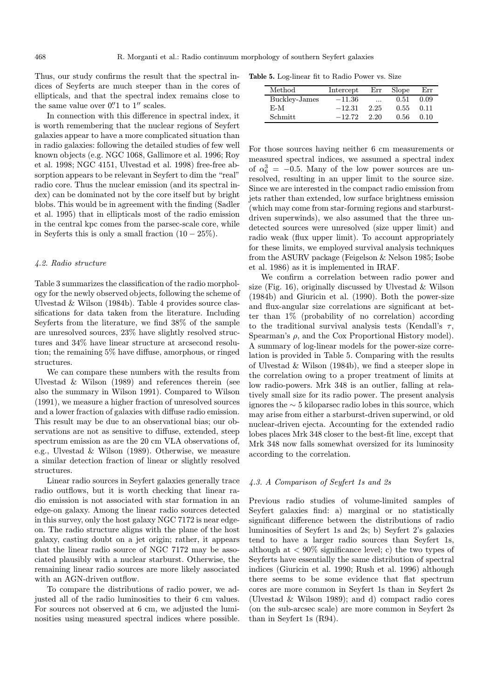Thus, our study confirms the result that the spectral indices of Seyferts are much steeper than in the cores of ellipticals, and that the spectral index remains close to the same value over  $0.^{\prime\prime}1$  to  $1^{\prime\prime}$  scales.

In connection with this difference in spectral index, it is worth remembering that the nuclear regions of Seyfert galaxies appear to have a more complicated situation than in radio galaxies: following the detailed studies of few well known objects (e.g. NGC 1068, Gallimore et al. 1996; Roy et al. 1998; NGC 4151, Ulvestad et al. 1998) free-free absorption appears to be relevant in Seyfert to dim the "real" radio core. Thus the nuclear emission (and its spectral index) can be dominated not by the core itself but by bright blobs. This would be in agreement with the finding (Sadler et al. 1995) that in ellipticals most of the radio emission in the central kpc comes from the parsec-scale core, while in Seyferts this is only a small fraction  $(10 - 25\%)$ .

# 4.2. Radio structure

Table 3 summarizes the classification of the radio morphology for the newly observed objects, following the scheme of Ulvestad & Wilson (1984b). Table 4 provides source classifications for data taken from the literature. Including Seyferts from the literature, we find 38% of the sample are unresolved sources, 23% have slightly resolved structures and 34% have linear structure at arcsecond resolution; the remaining 5% have diffuse, amorphous, or ringed structures.

We can compare these numbers with the results from Ulvestad & Wilson (1989) and references therein (see also the summary in Wilson 1991). Compared to Wilson (1991), we measure a higher fraction of unresolved sources and a lower fraction of galaxies with diffuse radio emission. This result may be due to an observational bias; our observations are not as sensitive to diffuse, extended, steep spectrum emission as are the 20 cm VLA observations of, e.g., Ulvestad & Wilson (1989). Otherwise, we measure a similar detection fraction of linear or slightly resolved structures.

Linear radio sources in Seyfert galaxies generally trace radio outflows, but it is worth checking that linear radio emission is not associated with star formation in an edge-on galaxy. Among the linear radio sources detected in this survey, only the host galaxy NGC 7172 is near edgeon. The radio structure aligns with the plane of the host galaxy, casting doubt on a jet origin; rather, it appears that the linear radio source of NGC 7172 may be associated plausibly with a nuclear starburst. Otherwise, the remaining linear radio sources are more likely associated with an AGN-driven outflow.

To compare the distributions of radio power, we adjusted all of the radio luminosities to their 6 cm values. For sources not observed at 6 cm, we adjusted the luminosities using measured spectral indices where possible.

Table 5. Log-linear fit to Radio Power vs. Size

| $\operatorname{Method}$ | Intercept | Err       | Slope | Err  |
|-------------------------|-----------|-----------|-------|------|
| Buckley-James           | $-11.36$  | $\ddotsc$ | 0.51  | 0.09 |
| E-M                     | $-12.31$  | 2.25      | 0.55  | 0.11 |
| Schmitt                 | $-12.72$  | 2.20      | 0.56  | 0.10 |

For those sources having neither 6 cm measurements or measured spectral indices, we assumed a spectral index of  $\alpha_6^3 = -0.5$ . Many of the low power sources are unresolved, resulting in an upper limit to the source size. Since we are interested in the compact radio emission from jets rather than extended, low surface brightness emission (which may come from star-forming regions and starburstdriven superwinds), we also assumed that the three undetected sources were unresolved (size upper limit) and radio weak (flux upper limit). To account appropriately for these limits, we employed survival analysis techniques from the ASURV package (Feigelson & Nelson 1985; Isobe et al. 1986) as it is implemented in IRAF.

We confirm a correlation between radio power and size (Fig. 16), originally discussed by Ulvestad & Wilson (1984b) and Giuricin et al. (1990). Both the power-size and flux-angular size correlations are significant at better than 1% (probability of no correlation) according to the traditional survival analysis tests (Kendall's  $\tau$ , Spearman's  $\rho$ , and the Cox Proportional History model). A summary of log-linear models for the power-size correlation is provided in Table 5. Comparing with the results of Ulvestad & Wilson (1984b), we find a steeper slope in the correlation owing to a proper treatment of limits at low radio-powers. Mrk 348 is an outlier, falling at relatively small size for its radio power. The present analysis ignores the ∼ 5 kiloparsec radio lobes in this source, which may arise from either a starburst-driven superwind, or old nuclear-driven ejecta. Accounting for the extended radio lobes places Mrk 348 closer to the best-fit line, except that Mrk 348 now falls somewhat oversized for its luminosity according to the correlation.

# 4.3. A Comparison of Seyfert 1s and 2s

Previous radio studies of volume-limited samples of Seyfert galaxies find: a) marginal or no statistically significant difference between the distributions of radio luminosities of Seyfert 1s and 2s; b) Seyfert 2's galaxies tend to have a larger radio sources than Seyfert 1s, although at  $\langle 90\%$  significance level; c) the two types of Seyferts have essentially the same distribution of spectral indices (Giuricin et al. 1990; Rush et al. 1996) although there seems to be some evidence that flat spectrum cores are more common in Seyfert 1s than in Seyfert 2s (Ulvestad & Wilson 1989); and d) compact radio cores (on the sub-arcsec scale) are more common in Seyfert 2s than in Seyfert 1s (R94).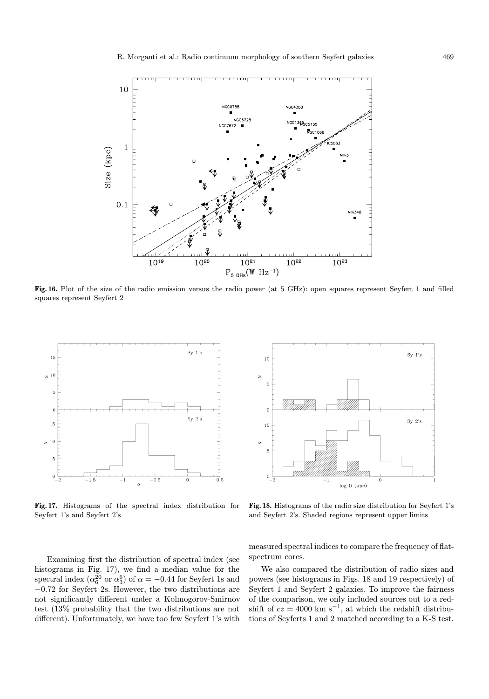

Fig. 16. Plot of the size of the radio emission versus the radio power (at 5 GHz): open squares represent Seyfert 1 and filled squares represent Seyfert 2



Fig. 17. Histograms of the spectral index distribution for Seyfert 1's and Seyfert 2's



Fig. 18. Histograms of the radio size distribution for Seyfert 1's and Seyfert 2's. Shaded regions represent upper limits

Examining first the distribution of spectral index (see histograms in Fig. 17), we find a median value for the spectral index ( $\alpha_6^{20}$  or  $\alpha_3^6$ ) of  $\alpha = -0.44$  for Seyfert 1s and −0.72 for Seyfert 2s. However, the two distributions are not significantly different under a Kolmogorov-Smirnov test (13% probability that the two distributions are not different). Unfortunately, we have too few Seyfert 1's with

measured spectral indices to compare the frequency of flatspectrum cores.

We also compared the distribution of radio sizes and powers (see histograms in Figs. 18 and 19 respectively) of Seyfert 1 and Seyfert 2 galaxies. To improve the fairness of the comparison, we only included sources out to a redshift of  $cz = 4000 \text{ km s}^{-1}$ , at which the redshift distributions of Seyferts 1 and 2 matched according to a K-S test.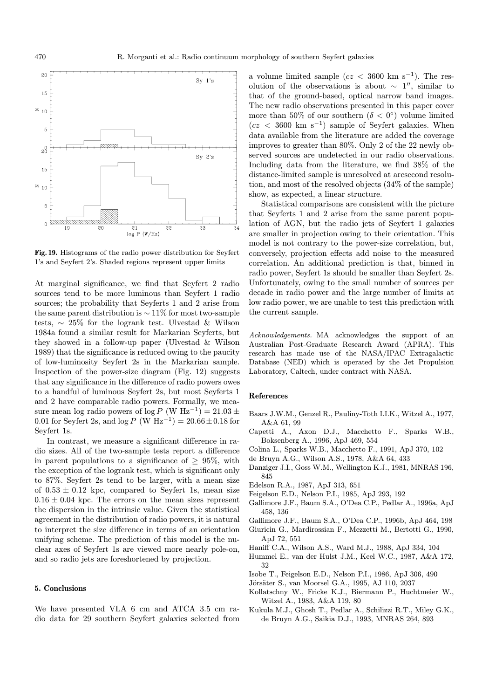

Fig. 19. Histograms of the radio power distribution for Seyfert 1's and Seyfert 2's. Shaded regions represent upper limits

At marginal significance, we find that Seyfert 2 radio sources tend to be more luminous than Seyfert 1 radio sources; the probability that Seyferts 1 and 2 arise from the same parent distribution is  $\sim 11\%$  for most two-sample tests, ∼ 25% for the logrank test. Ulvestad & Wilson 1984a found a similar result for Markarian Seyferts, but they showed in a follow-up paper (Ulvestad & Wilson 1989) that the significance is reduced owing to the paucity of low-luminosity Seyfert 2s in the Markarian sample. Inspection of the power-size diagram (Fig. 12) suggests that any significance in the difference of radio powers owes to a handful of luminous Seyfert 2s, but most Seyferts 1 and 2 have comparable radio powers. Formally, we measure mean log radio powers of log P (W Hz<sup>-1</sup>) = 21.03 ± 0.01 for Seyfert 2s, and  $\log P$  (W Hz<sup>-1</sup>) = 20.66 ± 0.18 for Seyfert 1s.

In contrast, we measure a significant difference in radio sizes. All of the two-sample tests report a difference in parent populations to a significance of  $\geq 95\%$ , with the exception of the logrank test, which is significant only to 87%. Seyfert 2s tend to be larger, with a mean size of  $0.53 \pm 0.12$  kpc, compared to Seyfert 1s, mean size  $0.16 \pm 0.04$  kpc. The errors on the mean sizes represent the dispersion in the intrinsic value. Given the statistical agreement in the distribution of radio powers, it is natural to interpret the size difference in terms of an orientation unifying scheme. The prediction of this model is the nuclear axes of Seyfert 1s are viewed more nearly pole-on, and so radio jets are foreshortened by projection.

## 5. Conclusions

We have presented VLA 6 cm and ATCA 3.5 cm radio data for 29 southern Seyfert galaxies selected from a volume limited sample ( $cz < 3600 \text{ km s}^{-1}$ ). The resolution of the observations is about  $\sim 1$ ", similar to that of the ground-based, optical narrow band images. The new radio observations presented in this paper cover more than 50% of our southern ( $\delta < 0^{\circ}$ ) volume limited  $(cz < 3600 \text{ km s}^{-1})$  sample of Seyfert galaxies. When data available from the literature are added the coverage improves to greater than 80%. Only 2 of the 22 newly observed sources are undetected in our radio observations. Including data from the literature, we find 38% of the distance-limited sample is unresolved at arcsecond resolution, and most of the resolved objects (34% of the sample) show, as expected, a linear structure.

Statistical comparisons are consistent with the picture that Seyferts 1 and 2 arise from the same parent population of AGN, but the radio jets of Seyfert 1 galaxies are smaller in projection owing to their orientation. This model is not contrary to the power-size correlation, but, conversely, projection effects add noise to the measured correlation. An additional prediction is that, binned in radio power, Seyfert 1s should be smaller than Seyfert 2s. Unfortunately, owing to the small number of sources per decade in radio power and the large number of limits at low radio power, we are unable to test this prediction with the current sample.

Acknowledgements. MA acknowledges the support of an Australian Post-Graduate Research Award (APRA). This research has made use of the NASA/IPAC Extragalactic Database (NED) which is operated by the Jet Propulsion Laboratory, Caltech, under contract with NASA.

#### References

- Baars J.W.M., Genzel R., Pauliny-Toth I.I.K., Witzel A., 1977, A&A 61, 99
- Capetti A., Axon D.J., Macchetto F., Sparks W.B., Boksenberg A., 1996, ApJ 469, 554
- Colina L., Sparks W.B., Macchetto F., 1991, ApJ 370, 102
- de Bruyn A.G., Wilson A.S., 1978, A&A 64, 433
- Danziger J.I., Goss W.M., Wellington K.J., 1981, MNRAS 196, 845
- Edelson R.A., 1987, ApJ 313, 651
- Feigelson E.D., Nelson P.I., 1985, ApJ 293, 192
- Gallimore J.F., Baum S.A., O'Dea C.P., Pedlar A., 1996a, ApJ 458, 136
- Gallimore J.F., Baum S.A., O'Dea C.P., 1996b, ApJ 464, 198
- Giuricin G., Mardirossian F., Mezzetti M., Bertotti G., 1990, ApJ 72, 551
- Haniff C.A., Wilson A.S., Ward M.J., 1988, ApJ 334, 104
- Hummel E., van der Hulst J.M., Keel W.C., 1987, A&A 172, 32
- Isobe T., Feigelson E.D., Nelson P.I., 1986, ApJ 306, 490
- Jörsäter S., van Moorsel G.A., 1995, AJ 110, 2037
- Kollatschny W., Fricke K.J., Biermann P., Huchtmeier W., Witzel A., 1983, A&A 119, 80
- Kukula M.J., Ghosh T., Pedlar A., Schilizzi R.T., Miley G.K., de Bruyn A.G., Saikia D.J., 1993, MNRAS 264, 893